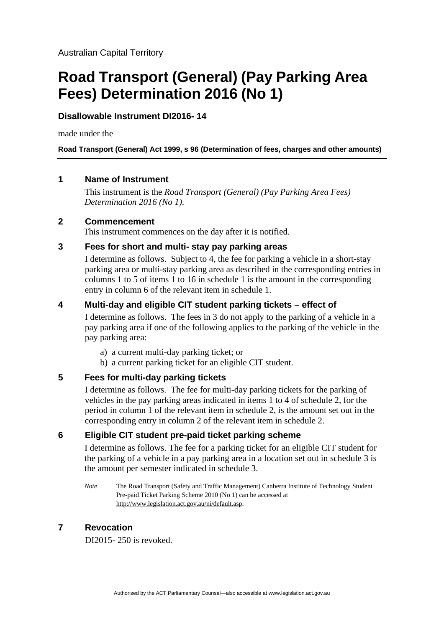# **Road Transport (General) (Pay Parking Area Fees) Determination 2016 (No 1)**

## **Disallowable Instrument DI2016- 14**

made under the

**Road Transport (General) Act 1999, s 96 (Determination of fees, charges and other amounts)**

## **1 Name of Instrument**

This instrument is the *Road Transport (General) (Pay Parking Area Fees) Determination 2016 (No 1)*.

## **2 Commencement**

This instrument commences on the day after it is notified.

## **3 Fees for short and multi- stay pay parking areas**

I determine as follows. Subject to 4, the fee for parking a vehicle in a short-stay parking area or multi-stay parking area as described in the corresponding entries in columns 1 to 5 of items 1 to 16 in schedule 1 is the amount in the corresponding entry in column 6 of the relevant item in schedule 1.

## **4 Multi-day and eligible CIT student parking tickets – effect of**

I determine as follows. The fees in 3 do not apply to the parking of a vehicle in a pay parking area if one of the following applies to the parking of the vehicle in the pay parking area:

- a) a current multi-day parking ticket; or
- b) a current parking ticket for an eligible CIT student.

## **5 Fees for multi-day parking tickets**

I determine as follows. The fee for multi-day parking tickets for the parking of vehicles in the pay parking areas indicated in items 1 to 4 of schedule 2, for the period in column 1 of the relevant item in schedule 2, is the amount set out in the corresponding entry in column 2 of the relevant item in schedule 2.

## **6 Eligible CIT student pre-paid ticket parking scheme**

I determine as follows. The fee for a parking ticket for an eligible CIT student for the parking of a vehicle in a pay parking area in a location set out in schedule 3 is the amount per semester indicated in schedule 3.

*Note* The Road Transport (Safety and Traffic Management) Canberra Institute of Technology Student Pre-paid Ticket Parking Scheme 2010 (No 1) can be accessed at [http://www.legislation.act.gov.au/ni/default.asp.](http://www.legislation.act.gov.au/ni/default.asp)

## **7 Revocation**

DI2015- 250 is revoked.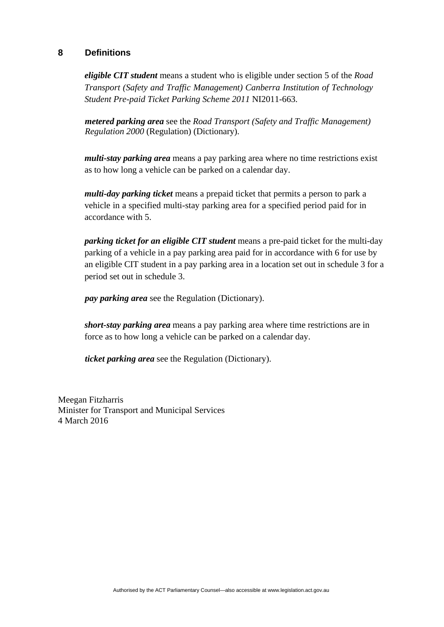## **8 Definitions**

*eligible CIT student* means a student who is eligible under section 5 of the *Road Transport (Safety and Traffic Management) Canberra Institution of Technology Student Pre-paid Ticket Parking Scheme 2011* NI2011-663.

*metered parking area* see the *Road Transport (Safety and Traffic Management) Regulation 2000* (Regulation) (Dictionary).

*multi-stay parking area* means a pay parking area where no time restrictions exist as to how long a vehicle can be parked on a calendar day.

*multi-day parking ticket* means a prepaid ticket that permits a person to park a vehicle in a specified multi-stay parking area for a specified period paid for in accordance with 5.

*parking ticket for an eligible CIT student* means a pre-paid ticket for the multi-day parking of a vehicle in a pay parking area paid for in accordance with 6 for use by an eligible CIT student in a pay parking area in a location set out in schedule 3 for a period set out in schedule 3.

*pay parking area* see the Regulation (Dictionary).

*short-stay parking area* means a pay parking area where time restrictions are in force as to how long a vehicle can be parked on a calendar day.

*ticket parking area* see the Regulation (Dictionary).

Meegan Fitzharris Minister for Transport and Municipal Services 4 March 2016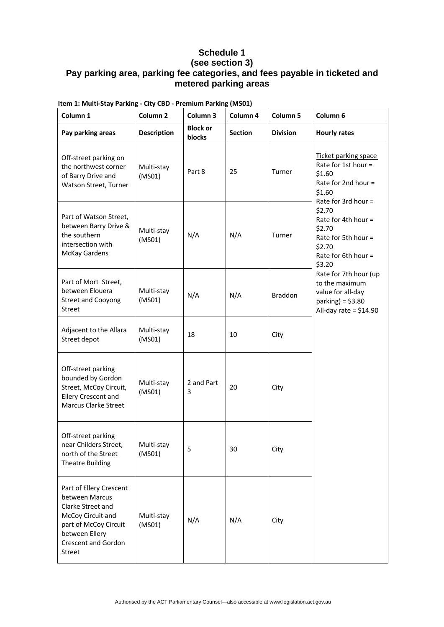## **Schedule 1**

## **(see section 3) Pay parking area, parking fee categories, and fees payable in ticketed and metered parking areas**

| Column 1                                                                                                                                                               | Column <sub>2</sub>  | Column 3                         | Column 4       | Column <sub>5</sub> | Column 6                                                                                                                                                                                                                     |
|------------------------------------------------------------------------------------------------------------------------------------------------------------------------|----------------------|----------------------------------|----------------|---------------------|------------------------------------------------------------------------------------------------------------------------------------------------------------------------------------------------------------------------------|
| Pay parking areas                                                                                                                                                      | <b>Description</b>   | <b>Block or</b><br><b>blocks</b> | <b>Section</b> | <b>Division</b>     | <b>Hourly rates</b>                                                                                                                                                                                                          |
| Off-street parking on<br>the northwest corner<br>of Barry Drive and<br>Watson Street, Turner                                                                           | Multi-stay<br>(MSO1) | Part 8                           | 25             | Turner              | Ticket parking space<br>Rate for 1st hour =<br>\$1.60<br>Rate for 2nd hour =<br>\$1.60<br>Rate for 3rd hour =                                                                                                                |
| Part of Watson Street,<br>between Barry Drive &<br>the southern<br>intersection with<br><b>McKay Gardens</b>                                                           | Multi-stay<br>(MSO1) | N/A                              | N/A            | Turner              | \$2.70<br>Rate for 4th hour =<br>\$2.70<br>Rate for 5th hour =<br>\$2.70<br>Rate for 6th hour $=$<br>\$3.20<br>Rate for 7th hour (up<br>to the maximum<br>value for all-day<br>parking) = $$3.80$<br>All-day rate = $$14.90$ |
| Part of Mort Street,<br>between Elouera<br><b>Street and Cooyong</b><br><b>Street</b>                                                                                  | Multi-stay<br>(MSO1) | N/A                              | N/A            | <b>Braddon</b>      |                                                                                                                                                                                                                              |
| Adjacent to the Allara<br>Street depot                                                                                                                                 | Multi-stay<br>(MSO1) | 18                               | 10             | City                |                                                                                                                                                                                                                              |
| Off-street parking<br>bounded by Gordon<br>Street, McCoy Circuit,<br>Ellery Crescent and<br><b>Marcus Clarke Street</b>                                                | Multi-stay<br>(MSO1) | 2 and Part<br>3                  | 20             | City                |                                                                                                                                                                                                                              |
| Off-street parking<br>near Childers Street,<br>north of the Street<br>Theatre Building                                                                                 | Multi-stay<br>(MSO1) | 5                                | 30             | City                |                                                                                                                                                                                                                              |
| Part of Ellery Crescent<br>between Marcus<br>Clarke Street and<br>McCoy Circuit and<br>part of McCoy Circuit<br>between Ellery<br><b>Crescent and Gordon</b><br>Street | Multi-stay<br>(MSO1) | N/A                              | N/A            | City                |                                                                                                                                                                                                                              |

**Item 1: Multi‐Stay Parking ‐ City CBD ‐ Premium Parking (MS01)**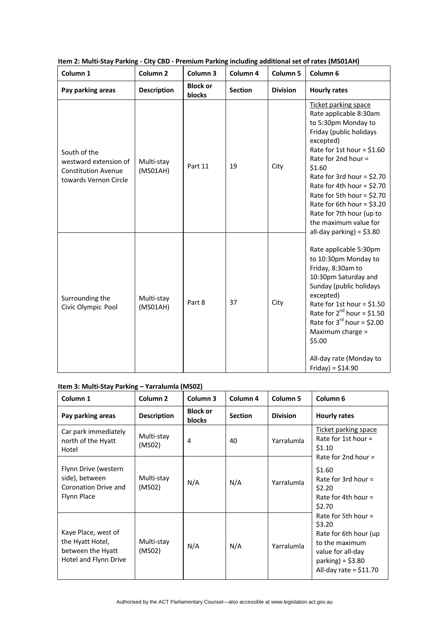| Column <sub>1</sub>                                                                          | Column <sub>2</sub>    | Column <sub>3</sub>              | Column 4       | Column 5        | Column 6                                                                                                                                                                                                                                                                                                                                                                                     |
|----------------------------------------------------------------------------------------------|------------------------|----------------------------------|----------------|-----------------|----------------------------------------------------------------------------------------------------------------------------------------------------------------------------------------------------------------------------------------------------------------------------------------------------------------------------------------------------------------------------------------------|
| Pay parking areas                                                                            | <b>Description</b>     | <b>Block or</b><br><b>blocks</b> | <b>Section</b> | <b>Division</b> | <b>Hourly rates</b>                                                                                                                                                                                                                                                                                                                                                                          |
| South of the<br>westward extension of<br><b>Constitution Avenue</b><br>towards Vernon Circle | Multi-stay<br>(MSO1AH) | Part 11                          | 19             | City            | Ticket parking space<br>Rate applicable 8:30am<br>to 5:30pm Monday to<br>Friday (public holidays<br>excepted)<br>Rate for 1st hour = $$1.60$<br>Rate for 2nd hour =<br>\$1.60<br>Rate for 3rd hour = $$2.70$<br>Rate for 4th hour = $$2.70$<br>Rate for 5th hour = $$2.70$<br>Rate for 6th hour = $$3.20$<br>Rate for 7th hour (up to<br>the maximum value for<br>all-day parking) = $$3.80$ |
| Surrounding the<br>Civic Olympic Pool                                                        | Multi-stay<br>(MSO1AH) | Part 8                           | 37             | City            | Rate applicable 5:30pm<br>to 10:30pm Monday to<br>Friday, 8:30am to<br>10:30pm Saturday and<br>Sunday (public holidays<br>excepted)<br>Rate for 1st hour = $$1.50$<br>Rate for $2^{nd}$ hour = \$1.50<br>Rate for $3^{rd}$ hour = \$2.00<br>Maximum charge =<br>\$5.00<br>All-day rate (Monday to<br>$Friday = $14.90$                                                                       |

#### **Item 2: Multi‐Stay Parking ‐ City CBD ‐ Premium Parking including additional set of rates (MS01AH)**

#### **Item 3: Multi‐Stay Parking – Yarralumla (MS02)**

| Column 1                                                                              | Column <sub>2</sub>  | Column 3                         | Column 4       | Column <sub>5</sub> | Column <sub>6</sub>                                                                                                                              |
|---------------------------------------------------------------------------------------|----------------------|----------------------------------|----------------|---------------------|--------------------------------------------------------------------------------------------------------------------------------------------------|
| Pay parking areas                                                                     | <b>Description</b>   | <b>Block or</b><br><b>blocks</b> | <b>Section</b> | <b>Division</b>     | <b>Hourly rates</b>                                                                                                                              |
| Car park immediately<br>north of the Hyatt<br>Hotel                                   | Multi-stay<br>(MS02) | 4                                | 40             | Yarralumla          | Ticket parking space<br>Rate for 1st hour $=$<br>\$1.10                                                                                          |
| Flynn Drive (western<br>side), between<br>Coronation Drive and<br>Flynn Place         | Multi-stay<br>(MS02) | N/A                              | N/A            | Yarralumla          | Rate for 2nd hour $=$<br>\$1.60<br>Rate for 3rd hour $=$<br>\$2.20<br>Rate for 4th hour $=$<br>\$2.70                                            |
| Kaye Place, west of<br>the Hyatt Hotel,<br>between the Hyatt<br>Hotel and Flynn Drive | Multi-stay<br>(MS02) | N/A                              | N/A            | Yarralumla          | Rate for 5th hour $=$<br>\$3.20<br>Rate for 6th hour (up<br>to the maximum<br>value for all-day<br>parking) = $$3.80$<br>All-day rate = $$11.70$ |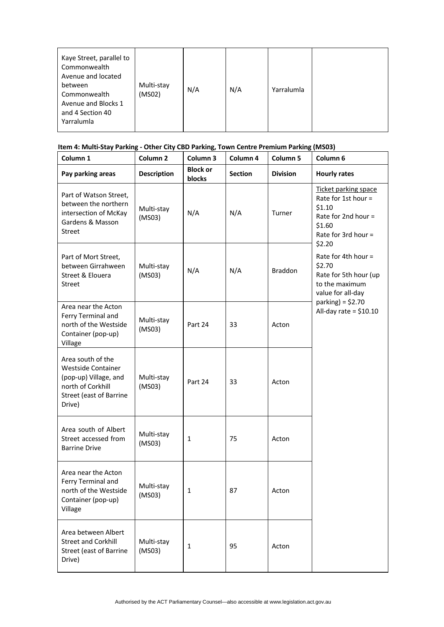| Kaye Street, parallel to<br>Commonwealth<br>Avenue and located<br>between<br>Commonwealth<br>Avenue and Blocks 1<br>and 4 Section 40<br>Yarralumla | Multi-stay<br>(MSO2) | N/A | N/A | Yarralumla |  |
|----------------------------------------------------------------------------------------------------------------------------------------------------|----------------------|-----|-----|------------|--|
|----------------------------------------------------------------------------------------------------------------------------------------------------|----------------------|-----|-----|------------|--|

## **Item 4: Multi‐Stay Parking ‐ Other City CBD Parking, Town Centre Premium Parking (MS03)**

| Column 1                                                                                                                          | Column <sub>2</sub>  | Column 3                  | Column 4       | Column 5        | Column 6                                                                                                                                         |
|-----------------------------------------------------------------------------------------------------------------------------------|----------------------|---------------------------|----------------|-----------------|--------------------------------------------------------------------------------------------------------------------------------------------------|
| Pay parking areas                                                                                                                 | <b>Description</b>   | <b>Block or</b><br>blocks | <b>Section</b> | <b>Division</b> | <b>Hourly rates</b>                                                                                                                              |
| Part of Watson Street,<br>between the northern<br>intersection of McKay<br>Gardens & Masson<br><b>Street</b>                      | Multi-stay<br>(MSO3) | N/A                       | N/A            | Turner          | Ticket parking space<br>Rate for 1st hour $=$<br>\$1.10<br>Rate for 2nd hour =<br>\$1.60<br>Rate for 3rd hour $=$<br>\$2.20                      |
| Part of Mort Street,<br>between Girrahween<br>Street & Elouera<br><b>Street</b>                                                   | Multi-stay<br>(MSO3) | N/A                       | N/A            | <b>Braddon</b>  | Rate for 4th hour $=$<br>\$2.70<br>Rate for 5th hour (up<br>to the maximum<br>value for all-day<br>parking) = $$2.70$<br>All-day rate = $$10.10$ |
| Area near the Acton<br>Ferry Terminal and<br>north of the Westside<br>Container (pop-up)<br>Village                               | Multi-stay<br>(MSO3) | Part 24                   | 33             | Acton           |                                                                                                                                                  |
| Area south of the<br><b>Westside Container</b><br>(pop-up) Village, and<br>north of Corkhill<br>Street (east of Barrine<br>Drive) | Multi-stay<br>(MSO3) | Part 24                   | 33             | Acton           |                                                                                                                                                  |
| Area south of Albert<br>Street accessed from<br><b>Barrine Drive</b>                                                              | Multi-stay<br>(MSO3) | $\mathbf{1}$              | 75             | Acton           |                                                                                                                                                  |
| Area near the Acton<br>Ferry Terminal and<br>north of the Westside<br>Container (pop-up)<br>Village                               | Multi-stay<br>(MSO3) | 1                         | 87             | Acton           |                                                                                                                                                  |
| Area between Albert<br><b>Street and Corkhill</b><br>Street (east of Barrine<br>Drive)                                            | Multi-stay<br>(MSO3) | $\mathbf{1}$              | 95             | Acton           |                                                                                                                                                  |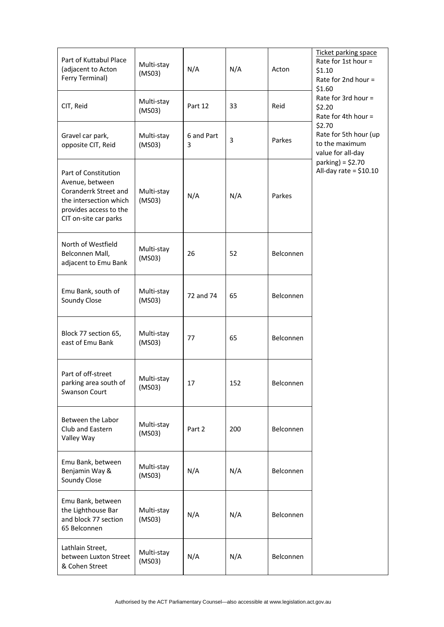| Part of Kuttabul Place<br>(adjacent to Acton<br>Ferry Terminal)                                                                               | Multi-stay<br>(MSO3) | N/A             | N/A | Acton     | Ticket parking space<br>Rate for 1st hour =<br>\$1.10<br>Rate for 2nd hour =<br>\$1.60 |
|-----------------------------------------------------------------------------------------------------------------------------------------------|----------------------|-----------------|-----|-----------|----------------------------------------------------------------------------------------|
| CIT, Reid                                                                                                                                     | Multi-stay<br>(MSO3) | Part 12         | 33  | Reid      | Rate for 3rd hour =<br>\$2.20<br>Rate for 4th hour =                                   |
| Gravel car park,<br>opposite CIT, Reid                                                                                                        | Multi-stay<br>(MSO3) | 6 and Part<br>3 | 3   | Parkes    | \$2.70<br>Rate for 5th hour (up<br>to the maximum<br>value for all-day                 |
| Part of Constitution<br>Avenue, between<br>Coranderrk Street and<br>the intersection which<br>provides access to the<br>CIT on-site car parks | Multi-stay<br>(MSO3) | N/A             | N/A | Parkes    | parking) = $$2.70$<br>All-day rate = $$10.10$                                          |
| North of Westfield<br>Belconnen Mall,<br>adjacent to Emu Bank                                                                                 | Multi-stay<br>(MSO3) | 26              | 52  | Belconnen |                                                                                        |
| Emu Bank, south of<br>Soundy Close                                                                                                            | Multi-stay<br>(MSO3) | 72 and 74       | 65  | Belconnen |                                                                                        |
| Block 77 section 65,<br>east of Emu Bank                                                                                                      | Multi-stay<br>(MSO3) | 77              | 65  | Belconnen |                                                                                        |
| Part of off-street<br>parking area south of<br>Swanson Court                                                                                  | Multi-stay<br>(MSO3) | 17              | 152 | Belconnen |                                                                                        |
| Between the Labor<br>Club and Eastern<br>Valley Way                                                                                           | Multi-stay<br>(MSO3) | Part 2          | 200 | Belconnen |                                                                                        |
| Emu Bank, between<br>Benjamin Way &<br>Soundy Close                                                                                           | Multi-stay<br>(MSO3) | N/A             | N/A | Belconnen |                                                                                        |
| Emu Bank, between<br>the Lighthouse Bar<br>and block 77 section<br>65 Belconnen                                                               | Multi-stay<br>(MSO3) | N/A             | N/A | Belconnen |                                                                                        |
| Lathlain Street,<br>between Luxton Street<br>& Cohen Street                                                                                   | Multi-stay<br>(MSO3) | N/A             | N/A | Belconnen |                                                                                        |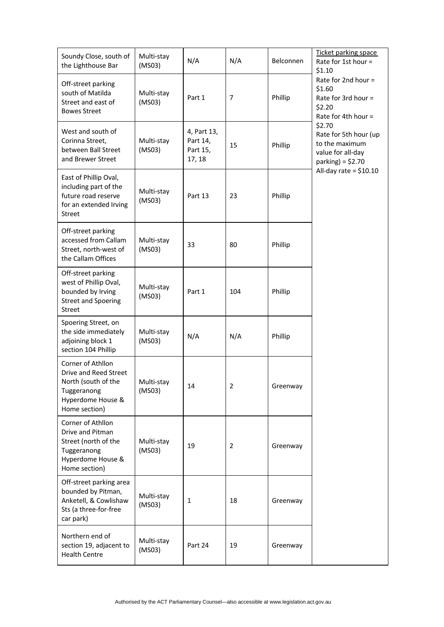| Soundy Close, south of<br>the Lighthouse Bar                                                                           | Multi-stay<br>(MSO3) | N/A                                           | N/A            | Belconnen | <u>Ticket parking space</u><br>Rate for 1st hour =<br>\$1.10                                 |
|------------------------------------------------------------------------------------------------------------------------|----------------------|-----------------------------------------------|----------------|-----------|----------------------------------------------------------------------------------------------|
| Off-street parking<br>south of Matilda<br>Street and east of<br><b>Bowes Street</b>                                    | Multi-stay<br>(MSO3) | Part 1                                        | 7              | Phillip   | Rate for 2nd hour $=$<br>\$1.60<br>Rate for 3rd hour $=$<br>\$2.20<br>Rate for 4th hour =    |
| West and south of<br>Corinna Street,<br>between Ball Street<br>and Brewer Street                                       | Multi-stay<br>(MSO3) | 4, Part 13,<br>Part 14,<br>Part 15,<br>17, 18 | 15             | Phillip   | \$2.70<br>Rate for 5th hour (up<br>to the maximum<br>value for all-day<br>parking) = $$2.70$ |
| East of Phillip Oval,<br>including part of the<br>future road reserve<br>for an extended Irving<br><b>Street</b>       | Multi-stay<br>(MSO3) | Part 13                                       | 23             | Phillip   | All-day rate = $$10.10$                                                                      |
| Off-street parking<br>accessed from Callam<br>Street, north-west of<br>the Callam Offices                              | Multi-stay<br>(MSO3) | 33                                            | 80             | Phillip   |                                                                                              |
| Off-street parking<br>west of Phillip Oval,<br>bounded by Irving<br><b>Street and Spoering</b><br><b>Street</b>        | Multi-stay<br>(MSO3) | Part 1                                        | 104            | Phillip   |                                                                                              |
| Spoering Street, on<br>the side immediately<br>adjoining block 1<br>section 104 Phillip                                | Multi-stay<br>(MSO3) | N/A                                           | N/A            | Phillip   |                                                                                              |
| Corner of Athllon<br>Drive and Reed Street<br>North (south of the<br>Tuggeranong<br>Hyperdome House &<br>Home section) | Multi-stay<br>(MSO3) | 14                                            | $\overline{2}$ | Greenway  |                                                                                              |
| Corner of Athllon<br>Drive and Pitman<br>Street (north of the<br>Tuggeranong<br>Hyperdome House &<br>Home section)     | Multi-stay<br>(MSO3) | 19                                            | 2              | Greenway  |                                                                                              |
| Off-street parking area<br>bounded by Pitman,<br>Anketell, & Cowlishaw<br>Sts (a three-for-free<br>car park)           | Multi-stay<br>(MSO3) | 1                                             | 18             | Greenway  |                                                                                              |
| Northern end of<br>section 19, adjacent to<br><b>Health Centre</b>                                                     | Multi-stay<br>(MSO3) | Part 24                                       | 19             | Greenway  |                                                                                              |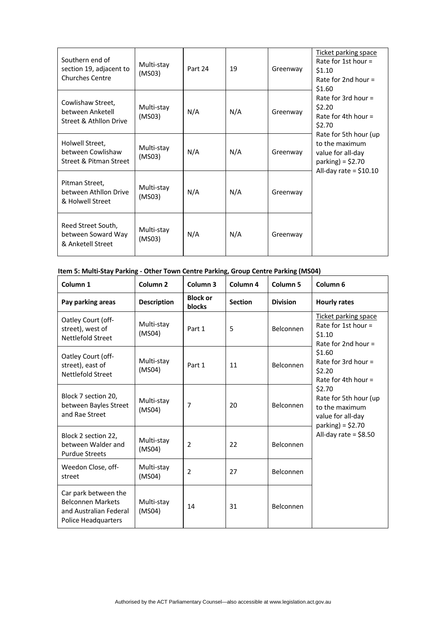| Southern end of<br>section 19, adjacent to<br><b>Churches Centre</b> | Multi-stay<br>(MSO3) | Part 24 | 19  | Greenway | <b>Ticket parking space</b><br>Rate for 1st hour $=$<br>\$1.10<br>Rate for 2nd hour $=$<br>\$1.60             |
|----------------------------------------------------------------------|----------------------|---------|-----|----------|---------------------------------------------------------------------------------------------------------------|
| Cowlishaw Street,<br>between Anketell<br>Street & Athllon Drive      | Multi-stay<br>(MSO3) | N/A     | N/A | Greenway | Rate for 3rd hour $=$<br>\$2.20<br>Rate for 4th hour $=$<br>\$2.70                                            |
| Holwell Street,<br>between Cowlishaw<br>Street & Pitman Street       | Multi-stay<br>(MS03) | N/A     | N/A | Greenway | Rate for 5th hour (up<br>to the maximum<br>value for all-day<br>parking) = $$2.70$<br>All-day rate = $$10.10$ |
| Pitman Street,<br>between Athllon Drive<br>& Holwell Street          | Multi-stay<br>(MS03) | N/A     | N/A | Greenway |                                                                                                               |
| Reed Street South,<br>between Soward Way<br>& Anketell Street        | Multi-stay<br>(MSO3) | N/A     | N/A | Greenway |                                                                                                               |

## **Item 5: Multi‐Stay Parking ‐ Other Town Centre Parking, Group Centre Parking (MS04)**

| Column <sub>1</sub>                                                                                      | Column <sub>2</sub>  | Column <sub>3</sub>       | Column 4       | Column <sub>5</sub> | Column 6                                                                       |
|----------------------------------------------------------------------------------------------------------|----------------------|---------------------------|----------------|---------------------|--------------------------------------------------------------------------------|
| Pay parking areas                                                                                        | <b>Description</b>   | <b>Block or</b><br>blocks | <b>Section</b> | <b>Division</b>     | <b>Hourly rates</b>                                                            |
| Oatley Court (off-<br>street), west of<br>Nettlefold Street                                              | Multi-stay<br>(MS04) | Part 1                    | 5              | Belconnen           | Ticket parking space<br>Rate for 1st hour =<br>\$1.10<br>Rate for 2nd hour $=$ |
| Oatley Court (off-<br>street), east of<br>Nettlefold Street                                              | Multi-stay<br>(MSO4) | Part 1                    | 11             | Belconnen           | \$1.60<br>Rate for 3rd hour $=$<br>\$2.20<br>Rate for 4th hour $=$             |
| Block 7 section 20,<br>between Bayles Street<br>and Rae Street                                           | Multi-stay<br>(MSO4) | 7                         | 20             | Belconnen           | \$2.70<br>Rate for 5th hour (up<br>to the maximum<br>value for all-day         |
| Block 2 section 22,<br>between Walder and<br><b>Purdue Streets</b>                                       | Multi-stay<br>(MSO4) | $\overline{2}$            | 22             | Belconnen           | parking) = $$2.70$<br>All-day rate = $$8.50$                                   |
| Weedon Close, off-<br>street                                                                             | Multi-stay<br>(MSO4) | 2                         | 27             | Belconnen           |                                                                                |
| Car park between the<br><b>Belconnen Markets</b><br>and Australian Federal<br><b>Police Headquarters</b> | Multi-stay<br>(MSO4) | 14                        | 31             | Belconnen           |                                                                                |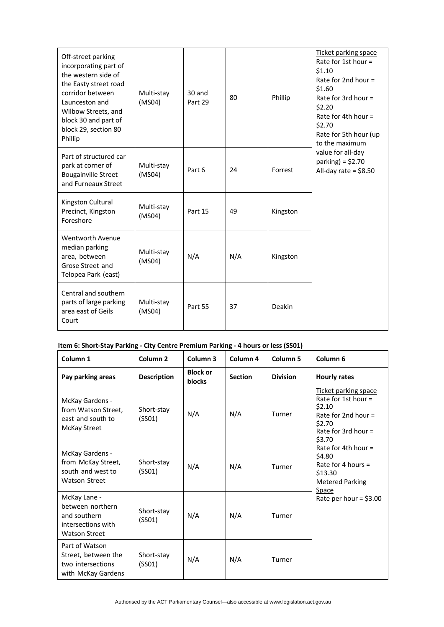| Off-street parking<br>incorporating part of<br>the western side of<br>the Easty street road<br>corridor between<br>Launceston and<br>Wilbow Streets, and<br>block 30 and part of<br>block 29, section 80<br>Phillip | Multi-stay<br>(MSO4) | 30 and<br>Part 29 | 80  | Phillip       | Ticket parking space<br>Rate for 1st hour $=$<br>\$1.10<br>Rate for 2nd hour $=$<br>\$1.60<br>Rate for 3rd hour $=$<br>\$2.20<br>Rate for 4th hour $=$<br>\$2.70<br>Rate for 5th hour (up<br>to the maximum<br>value for all-day<br>parking) = $$2.70$<br>All-day rate = $$8.50$ |
|---------------------------------------------------------------------------------------------------------------------------------------------------------------------------------------------------------------------|----------------------|-------------------|-----|---------------|----------------------------------------------------------------------------------------------------------------------------------------------------------------------------------------------------------------------------------------------------------------------------------|
| Part of structured car<br>park at corner of<br><b>Bougainville Street</b><br>and Furneaux Street                                                                                                                    | Multi-stay<br>(MSO4) | Part 6            | 24  | Forrest       |                                                                                                                                                                                                                                                                                  |
| Kingston Cultural<br>Precinct, Kingston<br>Foreshore                                                                                                                                                                | Multi-stay<br>(MS04) | Part 15           | 49  | Kingston      |                                                                                                                                                                                                                                                                                  |
| Wentworth Avenue<br>median parking<br>area, between<br>Grose Street and<br>Telopea Park (east)                                                                                                                      | Multi-stay<br>(MSO4) | N/A               | N/A | Kingston      |                                                                                                                                                                                                                                                                                  |
| Central and southern<br>parts of large parking<br>area east of Geils<br>Court                                                                                                                                       | Multi-stay<br>(MSO4) | Part 55           | 37  | <b>Deakin</b> |                                                                                                                                                                                                                                                                                  |

#### **Item 6: Short‐Stay Parking ‐ City Centre Premium Parking ‐ 4 hours or less (SS01)**

| Column 1                                                                                       | Column <sub>2</sub>  | Column <sub>3</sub>       | Column 4       | Column <sub>5</sub> | Column <sub>6</sub>                                                                                                                     |
|------------------------------------------------------------------------------------------------|----------------------|---------------------------|----------------|---------------------|-----------------------------------------------------------------------------------------------------------------------------------------|
| Pay parking areas                                                                              | <b>Description</b>   | <b>Block or</b><br>blocks | <b>Section</b> | <b>Division</b>     | <b>Hourly rates</b>                                                                                                                     |
| McKay Gardens -<br>from Watson Street,<br>east and south to<br>McKay Street                    | Short-stay<br>(SSO1) | N/A                       | N/A            | Turner              | Ticket parking space<br>Rate for 1st hour $=$<br>\$2.10<br>Rate for 2nd hour $=$<br>\$2.70<br>Rate for 3rd hour $=$<br>\$3.70           |
| McKay Gardens -<br>from McKay Street,<br>south and west to<br><b>Watson Street</b>             | Short-stay<br>(SSO1) | N/A                       | N/A            | Turner              | Rate for 4th hour $=$<br>\$4.80<br>Rate for 4 hours $=$<br>\$13.30<br><b>Metered Parking</b><br><b>Space</b><br>Rate per hour = $$3.00$ |
| McKay Lane -<br>between northern<br>and southern<br>intersections with<br><b>Watson Street</b> | Short-stay<br>(SSO1) | N/A                       | N/A            | Turner              |                                                                                                                                         |
| Part of Watson<br>Street, between the<br>two intersections<br>with McKay Gardens               | Short-stay<br>(SSO1) | N/A                       | N/A            | Turner              |                                                                                                                                         |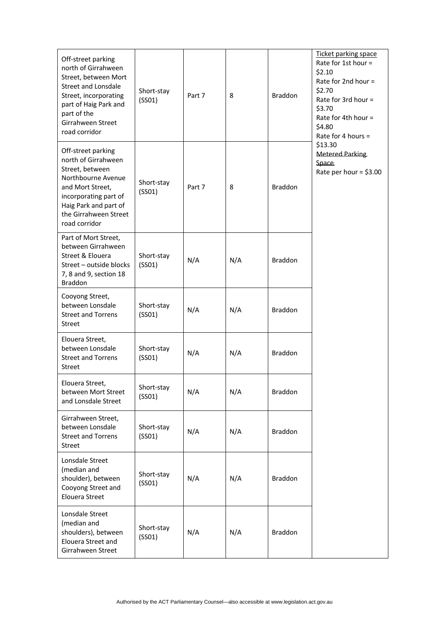| Off-street parking<br>north of Girrahween<br>Street, between Mort<br><b>Street and Lonsdale</b><br>Street, incorporating<br>part of Haig Park and<br>part of the<br>Girrahween Street<br>road corridor | Short-stay<br>(SSO1) | Part 7 | 8   | <b>Braddon</b> | Ticket parking space<br>Rate for 1st hour =<br>\$2.10<br>Rate for 2nd hour =<br>\$2.70<br>Rate for 3rd hour =<br>\$3.70<br>Rate for 4th hour $=$<br>\$4.80<br>Rate for 4 hours =<br>\$13.30<br><b>Metered Parking</b><br>Space<br>Rate per hour = $$3.00$ |
|--------------------------------------------------------------------------------------------------------------------------------------------------------------------------------------------------------|----------------------|--------|-----|----------------|-----------------------------------------------------------------------------------------------------------------------------------------------------------------------------------------------------------------------------------------------------------|
| Off-street parking<br>north of Girrahween<br>Street, between<br>Northbourne Avenue<br>and Mort Street,<br>incorporating part of<br>Haig Park and part of<br>the Girrahween Street<br>road corridor     | Short-stay<br>(SSO1) | Part 7 | 8   | Braddon        |                                                                                                                                                                                                                                                           |
| Part of Mort Street,<br>between Girrahween<br>Street & Elouera<br>Street - outside blocks<br>7, 8 and 9, section 18<br><b>Braddon</b>                                                                  | Short-stay<br>(SSO1) | N/A    | N/A | <b>Braddon</b> |                                                                                                                                                                                                                                                           |
| Cooyong Street,<br>between Lonsdale<br><b>Street and Torrens</b><br>Street                                                                                                                             | Short-stay<br>(SSO1) | N/A    | N/A | <b>Braddon</b> |                                                                                                                                                                                                                                                           |
| Elouera Street,<br>between Lonsdale<br><b>Street and Torrens</b><br>Street                                                                                                                             | Short-stay<br>(SSO1) | N/A    | N/A | Braddon        |                                                                                                                                                                                                                                                           |
| Elouera Street,<br>between Mort Street<br>and Lonsdale Street                                                                                                                                          | Short-stay<br>(SSO1) | N/A    | N/A | <b>Braddon</b> |                                                                                                                                                                                                                                                           |
| Girrahween Street,<br>between Lonsdale<br><b>Street and Torrens</b><br><b>Street</b>                                                                                                                   | Short-stay<br>(SSO1) | N/A    | N/A | Braddon        |                                                                                                                                                                                                                                                           |
| Lonsdale Street<br>(median and<br>shoulder), between<br>Cooyong Street and<br>Elouera Street                                                                                                           | Short-stay<br>(SSO1) | N/A    | N/A | Braddon        |                                                                                                                                                                                                                                                           |
| Lonsdale Street<br>(median and<br>shoulders), between<br>Elouera Street and<br>Girrahween Street                                                                                                       | Short-stay<br>(SSO1) | N/A    | N/A | <b>Braddon</b> |                                                                                                                                                                                                                                                           |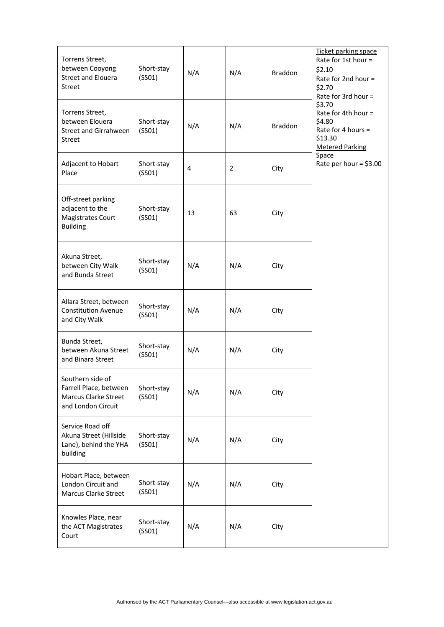| Torrens Street,<br>between Cooyong<br><b>Street and Elouera</b><br>Street                       | Short-stay<br>(SSO1) | N/A | N/A            | <b>Braddon</b> | Ticket parking space<br>Rate for 1st hour =<br>\$2.10<br>Rate for 2nd hour =<br>\$2.70<br>Rate for 3rd hour = |
|-------------------------------------------------------------------------------------------------|----------------------|-----|----------------|----------------|---------------------------------------------------------------------------------------------------------------|
| Torrens Street,<br>between Elouera<br><b>Street and Girrahween</b><br><b>Street</b>             | Short-stay<br>(SSO1) | N/A | N/A            | <b>Braddon</b> | \$3.70<br>Rate for 4th hour =<br>\$4.80<br>Rate for 4 hours =<br>\$13.30<br><b>Metered Parking</b>            |
| Adjacent to Hobart<br>Place                                                                     | Short-stay<br>(SSO1) | 4   | $\overline{2}$ | City           | <b>Space</b><br>Rate per hour = $$3.00$                                                                       |
| Off-street parking<br>adjacent to the<br><b>Magistrates Court</b><br><b>Building</b>            | Short-stay<br>(SSO1) | 13  | 63             | City           |                                                                                                               |
| Akuna Street,<br>between City Walk<br>and Bunda Street                                          | Short-stay<br>(SSO1) | N/A | N/A            | City           |                                                                                                               |
| Allara Street, between<br><b>Constitution Avenue</b><br>and City Walk                           | Short-stay<br>(SSO1) | N/A | N/A            | City           |                                                                                                               |
| Bunda Street,<br>between Akuna Street<br>and Binara Street                                      | Short-stay<br>(SSO1) | N/A | N/A            | City           |                                                                                                               |
| Southern side of<br>Farrell Place, between<br><b>Marcus Clarke Street</b><br>and London Circuit | Short-stay<br>(SSO1) | N/A | N/A            | City           |                                                                                                               |
| Service Road off<br>Akuna Street (Hillside<br>Lane), behind the YHA<br>building                 | Short-stay<br>(SSO1) | N/A | N/A            | City           |                                                                                                               |
| Hobart Place, between<br>London Circuit and<br><b>Marcus Clarke Street</b>                      | Short-stay<br>(SSO1) | N/A | N/A            | City           |                                                                                                               |
| Knowles Place, near<br>the ACT Magistrates<br>Court                                             | Short-stay<br>(SSO1) | N/A | N/A            | City           |                                                                                                               |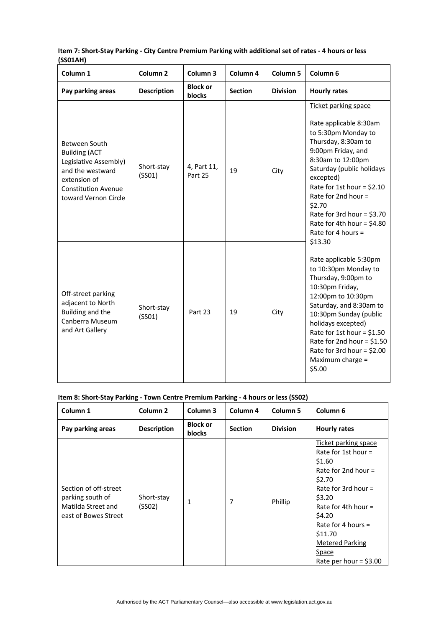| Column <sub>1</sub>                                                                                                                                             | Column <sub>2</sub>  | Column <sub>3</sub>       | Column 4       | Column <sub>5</sub> | Column <sub>6</sub>                                                                                                                                                                                                                                                                                                                                                                                                                                                                                                                                                                                                                                                          |
|-----------------------------------------------------------------------------------------------------------------------------------------------------------------|----------------------|---------------------------|----------------|---------------------|------------------------------------------------------------------------------------------------------------------------------------------------------------------------------------------------------------------------------------------------------------------------------------------------------------------------------------------------------------------------------------------------------------------------------------------------------------------------------------------------------------------------------------------------------------------------------------------------------------------------------------------------------------------------------|
| Pay parking areas                                                                                                                                               | <b>Description</b>   | <b>Block or</b><br>blocks | <b>Section</b> | <b>Division</b>     | <b>Hourly rates</b>                                                                                                                                                                                                                                                                                                                                                                                                                                                                                                                                                                                                                                                          |
| <b>Between South</b><br><b>Building (ACT</b><br>Legislative Assembly)<br>and the westward<br>extension of<br><b>Constitution Avenue</b><br>toward Vernon Circle | Short-stay<br>(SSO1) | 4, Part 11,<br>Part 25    | 19             | City                | Ticket parking space<br>Rate applicable 8:30am<br>to 5:30pm Monday to<br>Thursday, 8:30am to<br>9:00pm Friday, and<br>8:30am to 12:00pm<br>Saturday (public holidays<br>excepted)<br>Rate for 1st hour = $$2.10$<br>Rate for 2nd hour $=$<br>\$2.70<br>Rate for 3rd hour = $$3.70$<br>Rate for 4th hour = $$4.80$<br>Rate for 4 hours $=$<br>\$13.30<br>Rate applicable 5:30pm<br>to 10:30pm Monday to<br>Thursday, 9:00pm to<br>10:30pm Friday,<br>12:00pm to 10:30pm<br>Saturday, and 8:30am to<br>10:30pm Sunday (public<br>holidays excepted)<br>Rate for 1st hour = $$1.50$<br>Rate for 2nd hour = $$1.50$<br>Rate for 3rd hour = $$2.00$<br>Maximum charge =<br>\$5.00 |
| Off-street parking<br>adjacent to North<br>Building and the<br>Canberra Museum<br>and Art Gallery                                                               | Short-stay<br>(SSO1) | Part 23                   | 19             | City                |                                                                                                                                                                                                                                                                                                                                                                                                                                                                                                                                                                                                                                                                              |

#### Item 7: Short-Stay Parking - City Centre Premium Parking with additional set of rates - 4 hours or less **(SS01AH)**

#### **Item 8: Short‐Stay Parking ‐ Town Centre Premium Parking ‐ 4 hours or less (SS02)**

| Column 1                                                                                | Column <sub>2</sub>  | Column 3                  | Column 4       | Column <sub>5</sub> | Column <sub>6</sub>                                                                                                                                                                                                                                               |
|-----------------------------------------------------------------------------------------|----------------------|---------------------------|----------------|---------------------|-------------------------------------------------------------------------------------------------------------------------------------------------------------------------------------------------------------------------------------------------------------------|
| Pay parking areas                                                                       | <b>Description</b>   | <b>Block or</b><br>blocks | <b>Section</b> | <b>Division</b>     | <b>Hourly rates</b>                                                                                                                                                                                                                                               |
| Section of off-street<br>parking south of<br>Matilda Street and<br>east of Bowes Street | Short-stay<br>(SSO2) | $\mathbf{1}$              | 7              | Phillip             | Ticket parking space<br>Rate for 1st hour $=$<br>\$1.60<br>Rate for 2nd hour $=$<br>\$2.70<br>Rate for 3rd hour $=$<br>\$3.20<br>Rate for 4th hour $=$<br>\$4.20<br>Rate for 4 hours $=$<br>\$11.70<br><b>Metered Parking</b><br>Space<br>Rate per hour = $$3.00$ |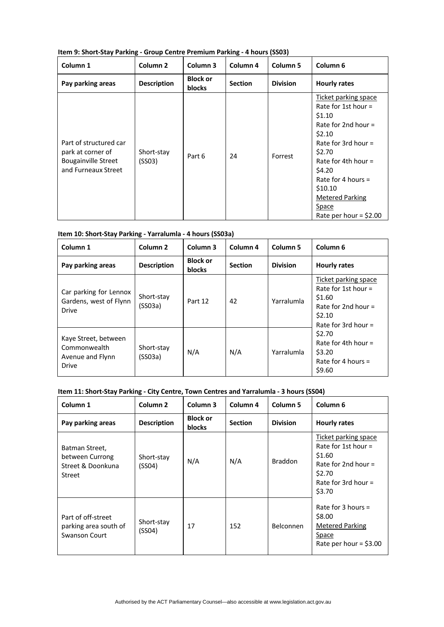| Item 9: Short-Stay Parking - Group Centre Premium Parking - 4 hours (SS03) |  |
|----------------------------------------------------------------------------|--|
|----------------------------------------------------------------------------|--|

| Column 1                                                                                         | Column <sub>2</sub>  | Column 3                         | Column <sub>4</sub> | Column <sub>5</sub> | Column <sub>6</sub>                                                                                                                                                                                                                                                      |
|--------------------------------------------------------------------------------------------------|----------------------|----------------------------------|---------------------|---------------------|--------------------------------------------------------------------------------------------------------------------------------------------------------------------------------------------------------------------------------------------------------------------------|
| Pay parking areas                                                                                | <b>Description</b>   | <b>Block or</b><br><b>blocks</b> | <b>Section</b>      | <b>Division</b>     | <b>Hourly rates</b>                                                                                                                                                                                                                                                      |
| Part of structured car<br>park at corner of<br><b>Bougainville Street</b><br>and Furneaux Street | Short-stay<br>(SSO3) | Part 6                           | 24                  | Forrest             | Ticket parking space<br>Rate for 1st hour $=$<br>\$1.10<br>Rate for 2nd hour $=$<br>\$2.10<br>Rate for 3rd hour $=$<br>\$2.70<br>Rate for 4th hour $=$<br>\$4.20<br>Rate for 4 hours $=$<br>\$10.10<br><b>Metered Parking</b><br><b>Space</b><br>Rate per hour = $$2.00$ |

|  | Item 10: Short-Stay Parking - Yarralumla - 4 hours (SS03a) |
|--|------------------------------------------------------------|
|--|------------------------------------------------------------|

| Column 1                                                                 | Column <sub>2</sub>   | Column 3                  | Column 4       | Column <sub>5</sub> | Column <sub>6</sub>                                                                                                                                                                                |
|--------------------------------------------------------------------------|-----------------------|---------------------------|----------------|---------------------|----------------------------------------------------------------------------------------------------------------------------------------------------------------------------------------------------|
| Pay parking areas                                                        | <b>Description</b>    | <b>Block or</b><br>blocks | <b>Section</b> | <b>Division</b>     | <b>Hourly rates</b>                                                                                                                                                                                |
| Car parking for Lennox<br>Gardens, west of Flynn<br><b>Drive</b>         | Short-stay<br>(SS03a) | Part 12                   | 42             | Yarralumla          | Ticket parking space<br>Rate for 1st hour $=$<br>\$1.60<br>Rate for 2nd hour $=$<br>\$2.10<br>Rate for 3rd hour $=$<br>\$2.70<br>Rate for 4th hour $=$<br>\$3.20<br>Rate for 4 hours $=$<br>\$9.60 |
| Kaye Street, between<br>Commonwealth<br>Avenue and Flynn<br><b>Drive</b> | Short-stay<br>(SS03a) | N/A                       | N/A            | Yarralumla          |                                                                                                                                                                                                    |

#### **Item 11: Short‐Stay Parking ‐ City Centre, Town Centres and Yarralumla ‐ 3 hours (SS04)**

| Column 1                                                                | Column <sub>2</sub>  | Column 3                  | Column 4       | Column <sub>5</sub> | Column <sub>6</sub>                                                                                                           |
|-------------------------------------------------------------------------|----------------------|---------------------------|----------------|---------------------|-------------------------------------------------------------------------------------------------------------------------------|
| Pay parking areas                                                       | <b>Description</b>   | <b>Block or</b><br>blocks | <b>Section</b> | <b>Division</b>     | <b>Hourly rates</b>                                                                                                           |
| Batman Street,<br>between Currong<br>Street & Doonkuna<br><b>Street</b> | Short-stay<br>(SSO4) | N/A                       | N/A            | <b>Braddon</b>      | Ticket parking space<br>Rate for 1st hour $=$<br>\$1.60<br>Rate for 2nd hour $=$<br>\$2.70<br>Rate for 3rd hour $=$<br>\$3.70 |
| Part of off-street<br>parking area south of<br>Swanson Court            | Short-stay<br>(SSO4) | 17                        | 152            | Belconnen           | Rate for 3 hours $=$<br>\$8.00<br><b>Metered Parking</b><br><b>Space</b><br>Rate per hour = $$3.00$                           |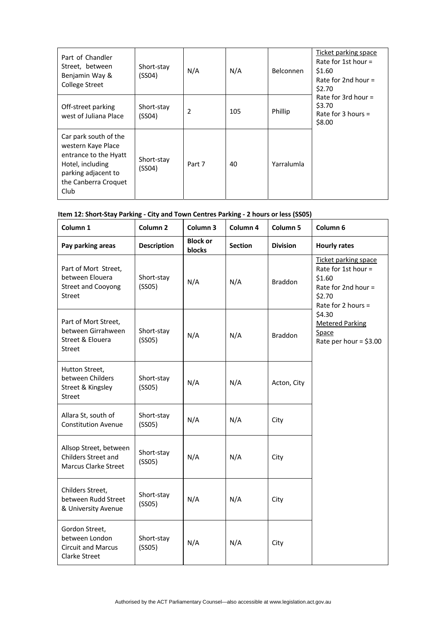| Part of Chandler<br>Street, between<br>Benjamin Way &<br><b>College Street</b>                                                                  | Short-stay<br>(SSO4) | N/A    | N/A | <b>Belconnen</b> | <b>Ticket parking space</b><br>Rate for 1st hour $=$<br>\$1.60<br>Rate for 2nd hour $=$<br>\$2.70 |
|-------------------------------------------------------------------------------------------------------------------------------------------------|----------------------|--------|-----|------------------|---------------------------------------------------------------------------------------------------|
| Off-street parking<br>west of Juliana Place                                                                                                     | Short-stay<br>(SSO4) | 2      | 105 | Phillip          | Rate for 3rd hour $=$<br>\$3.70<br>Rate for 3 hours $=$<br>\$8.00                                 |
| Car park south of the<br>western Kaye Place<br>entrance to the Hyatt<br>Hotel, including<br>parking adjacent to<br>the Canberra Croquet<br>Club | Short-stay<br>(SS04) | Part 7 | 40  | Yarralumla       |                                                                                                   |

## **Item 12: Short‐Stay Parking ‐ City and Town Centres Parking ‐ 2 hours or less (SS05)**

| Column 1                                                                              | Column <sub>2</sub>  | Column 3                  | Column 4       | Column 5        | Column 6                                                                                                     |
|---------------------------------------------------------------------------------------|----------------------|---------------------------|----------------|-----------------|--------------------------------------------------------------------------------------------------------------|
| Pay parking areas                                                                     | <b>Description</b>   | <b>Block or</b><br>blocks | <b>Section</b> | <b>Division</b> | <b>Hourly rates</b>                                                                                          |
| Part of Mort Street,<br>between Elouera<br><b>Street and Cooyong</b><br><b>Street</b> | Short-stay<br>(SSO5) | N/A                       | N/A            | <b>Braddon</b>  | Ticket parking space<br>Rate for 1st hour =<br>\$1.60<br>Rate for 2nd hour =<br>\$2.70<br>Rate for 2 hours = |
| Part of Mort Street,<br>between Girrahween<br>Street & Elouera<br>Street              | Short-stay<br>(SSO5) | N/A                       | N/A            | <b>Braddon</b>  | \$4.30<br><b>Metered Parking</b><br>Space<br>Rate per hour = $$3.00$                                         |
| Hutton Street,<br>between Childers<br>Street & Kingsley<br><b>Street</b>              | Short-stay<br>(SSO5) | N/A                       | N/A            | Acton, City     |                                                                                                              |
| Allara St, south of<br><b>Constitution Avenue</b>                                     | Short-stay<br>(SSO5) | N/A                       | N/A            | City            |                                                                                                              |
| Allsop Street, between<br>Childers Street and<br><b>Marcus Clarke Street</b>          | Short-stay<br>(SSO5) | N/A                       | N/A            | City            |                                                                                                              |
| Childers Street,<br>between Rudd Street<br>& University Avenue                        | Short-stay<br>(SSO5) | N/A                       | N/A            | City            |                                                                                                              |
| Gordon Street,<br>between London<br><b>Circuit and Marcus</b><br>Clarke Street        | Short-stay<br>(SSO5) | N/A                       | N/A            | City            |                                                                                                              |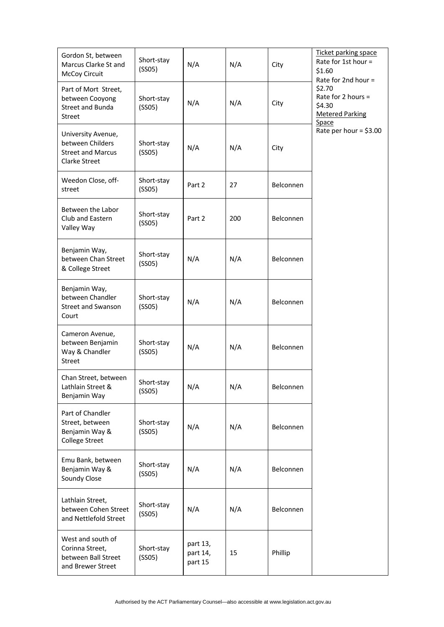| Gordon St, between<br>Marcus Clarke St and<br>McCoy Circuit                                | Short-stay<br>(SSO5) | N/A                             | N/A | City             | Ticket parking space<br>Rate for 1st hour =<br>\$1.60<br>Rate for 2nd hour = |
|--------------------------------------------------------------------------------------------|----------------------|---------------------------------|-----|------------------|------------------------------------------------------------------------------|
| Part of Mort Street,<br>between Cooyong<br><b>Street and Bunda</b><br><b>Street</b>        | Short-stay<br>(SSO5) | N/A                             | N/A | City             | \$2.70<br>Rate for 2 hours =<br>\$4.30<br><b>Metered Parking</b><br>Space    |
| University Avenue,<br>between Childers<br><b>Street and Marcus</b><br><b>Clarke Street</b> | Short-stay<br>(SSO5) | N/A                             | N/A | City             | Rate per hour = $$3.00$                                                      |
| Weedon Close, off-<br>street                                                               | Short-stay<br>(SSO5) | Part 2                          | 27  | Belconnen        |                                                                              |
| Between the Labor<br>Club and Eastern<br>Valley Way                                        | Short-stay<br>(SSO5) | Part 2                          | 200 | <b>Belconnen</b> |                                                                              |
| Benjamin Way,<br>between Chan Street<br>& College Street                                   | Short-stay<br>(SSO5) | N/A                             | N/A | Belconnen        |                                                                              |
| Benjamin Way,<br>between Chandler<br><b>Street and Swanson</b><br>Court                    | Short-stay<br>(SSO5) | N/A                             | N/A | Belconnen        |                                                                              |
| Cameron Avenue,<br>between Benjamin<br>Way & Chandler<br><b>Street</b>                     | Short-stay<br>(SSO5) | N/A                             | N/A | Belconnen        |                                                                              |
| Chan Street, between<br>Lathlain Street &<br>Benjamin Way                                  | Short-stay<br>(SSO5) | N/A                             | N/A | Belconnen        |                                                                              |
| Part of Chandler<br>Street, between<br>Benjamin Way &<br><b>College Street</b>             | Short-stay<br>(SSO5) | N/A                             | N/A | Belconnen        |                                                                              |
| Emu Bank, between<br>Benjamin Way &<br>Soundy Close                                        | Short-stay<br>(SSO5) | N/A                             | N/A | Belconnen        |                                                                              |
| Lathlain Street,<br>between Cohen Street<br>and Nettlefold Street                          | Short-stay<br>(SSO5) | N/A                             | N/A | Belconnen        |                                                                              |
| West and south of<br>Corinna Street,<br>between Ball Street<br>and Brewer Street           | Short-stay<br>(SSO5) | part 13,<br>part 14,<br>part 15 | 15  | Phillip          |                                                                              |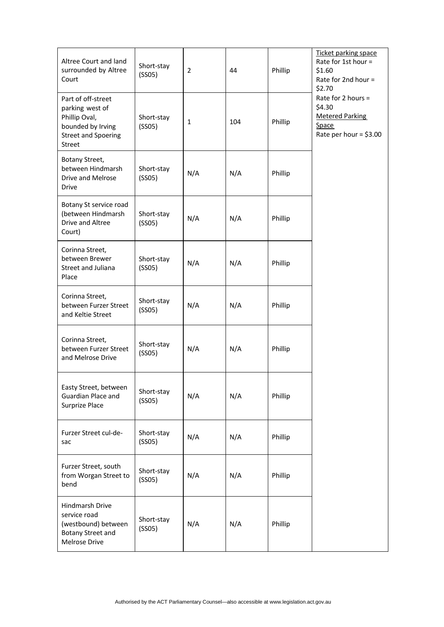| Altree Court and land<br>surrounded by Altree<br>Court                                                                     | Short-stay<br>(SSO5) | $\overline{2}$ | 44  | Phillip | Ticket parking space<br>Rate for 1st hour =<br>\$1.60<br>Rate for 2nd hour =<br>\$2.70<br>Rate for 2 hours $=$<br>\$4.30<br><b>Metered Parking</b><br><b>Space</b><br>Rate per hour = $$3.00$ |
|----------------------------------------------------------------------------------------------------------------------------|----------------------|----------------|-----|---------|-----------------------------------------------------------------------------------------------------------------------------------------------------------------------------------------------|
| Part of off-street<br>parking west of<br>Phillip Oval,<br>bounded by Irving<br><b>Street and Spoering</b><br><b>Street</b> | Short-stay<br>(SSO5) | $\mathbf{1}$   | 104 | Phillip |                                                                                                                                                                                               |
| Botany Street,<br>between Hindmarsh<br>Drive and Melrose<br><b>Drive</b>                                                   | Short-stay<br>(SSO5) | N/A            | N/A | Phillip |                                                                                                                                                                                               |
| Botany St service road<br>(between Hindmarsh<br>Drive and Altree<br>Court)                                                 | Short-stay<br>(SSO5) | N/A            | N/A | Phillip |                                                                                                                                                                                               |
| Corinna Street,<br>between Brewer<br>Street and Juliana<br>Place                                                           | Short-stay<br>(SSO5) | N/A            | N/A | Phillip |                                                                                                                                                                                               |
| Corinna Street,<br>between Furzer Street<br>and Keltie Street                                                              | Short-stay<br>(SSO5) | N/A            | N/A | Phillip |                                                                                                                                                                                               |
| Corinna Street,<br>between Furzer Street<br>and Melrose Drive                                                              | Short-stay<br>(SSO5) | N/A            | N/A | Phillip |                                                                                                                                                                                               |
| Easty Street, between<br>Guardian Place and<br>Surprize Place                                                              | Short-stay<br>(SSO5) | N/A            | N/A | Phillip |                                                                                                                                                                                               |
| Furzer Street cul-de-<br>sac                                                                                               | Short-stay<br>(SSO5) | N/A            | N/A | Phillip |                                                                                                                                                                                               |
| Furzer Street, south<br>from Worgan Street to<br>bend                                                                      | Short-stay<br>(SSO5) | N/A            | N/A | Phillip |                                                                                                                                                                                               |
| Hindmarsh Drive<br>service road<br>(westbound) between<br>Botany Street and<br>Melrose Drive                               | Short-stay<br>(SSO5) | N/A            | N/A | Phillip |                                                                                                                                                                                               |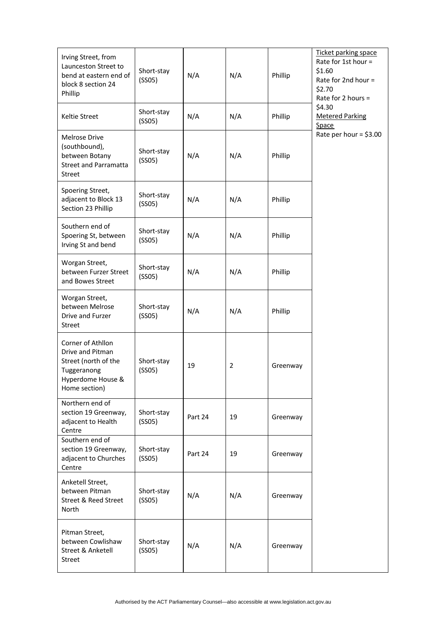| Irving Street, from<br>Launceston Street to<br>bend at eastern end of<br>block 8 section 24<br>Phillip             | Short-stay<br>(SSO5) | N/A     | N/A | Phillip  | Ticket parking space<br>Rate for 1st hour =<br>\$1.60<br>Rate for 2nd hour =<br>\$2.70<br>Rate for 2 hours $=$ |
|--------------------------------------------------------------------------------------------------------------------|----------------------|---------|-----|----------|----------------------------------------------------------------------------------------------------------------|
| Keltie Street                                                                                                      | Short-stay<br>(SSO5) | N/A     | N/A | Phillip  | \$4.30<br><b>Metered Parking</b><br>Space                                                                      |
| Melrose Drive<br>(southbound),<br>between Botany<br><b>Street and Parramatta</b><br><b>Street</b>                  | Short-stay<br>(SSO5) | N/A     | N/A | Phillip  | Rate per hour = $$3.00$                                                                                        |
| Spoering Street,<br>adjacent to Block 13<br>Section 23 Phillip                                                     | Short-stay<br>(SSO5) | N/A     | N/A | Phillip  |                                                                                                                |
| Southern end of<br>Spoering St, between<br>Irving St and bend                                                      | Short-stay<br>(SSO5) | N/A     | N/A | Phillip  |                                                                                                                |
| Worgan Street,<br>between Furzer Street<br>and Bowes Street                                                        | Short-stay<br>(SSO5) | N/A     | N/A | Phillip  |                                                                                                                |
| Worgan Street,<br>between Melrose<br>Drive and Furzer<br><b>Street</b>                                             | Short-stay<br>(SSO5) | N/A     | N/A | Phillip  |                                                                                                                |
| Corner of Athllon<br>Drive and Pitman<br>Street (north of the<br>Tuggeranong<br>Hyperdome House &<br>Home section) | Short-stay<br>(SSO5) | 19      | 2   | Greenway |                                                                                                                |
| Northern end of<br>section 19 Greenway,<br>adjacent to Health<br>Centre                                            | Short-stay<br>(SSO5) | Part 24 | 19  | Greenway |                                                                                                                |
| Southern end of<br>section 19 Greenway,<br>adjacent to Churches<br>Centre                                          | Short-stay<br>(SSO5) | Part 24 | 19  | Greenway |                                                                                                                |
| Anketell Street,<br>between Pitman<br>Street & Reed Street<br>North                                                | Short-stay<br>(SSO5) | N/A     | N/A | Greenway |                                                                                                                |
| Pitman Street,<br>between Cowlishaw<br>Street & Anketell<br><b>Street</b>                                          | Short-stay<br>(SSO5) | N/A     | N/A | Greenway |                                                                                                                |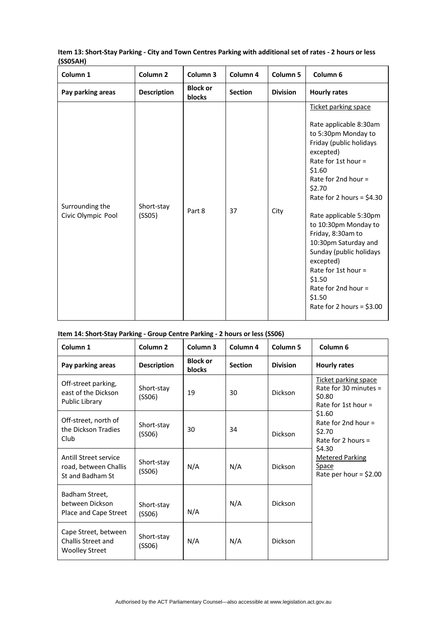| Column <sub>1</sub>                   | Column <sub>2</sub>  | Column 3                  | Column 4       | Column 5        | Column 6                                                                                                                                                                                                                                                                                                                                                                                                                                                   |
|---------------------------------------|----------------------|---------------------------|----------------|-----------------|------------------------------------------------------------------------------------------------------------------------------------------------------------------------------------------------------------------------------------------------------------------------------------------------------------------------------------------------------------------------------------------------------------------------------------------------------------|
| Pay parking areas                     | <b>Description</b>   | <b>Block or</b><br>blocks | <b>Section</b> | <b>Division</b> | <b>Hourly rates</b>                                                                                                                                                                                                                                                                                                                                                                                                                                        |
| Surrounding the<br>Civic Olympic Pool | Short-stay<br>(SSO5) | Part 8                    | 37             | City            | Ticket parking space<br>Rate applicable 8:30am<br>to 5:30pm Monday to<br>Friday (public holidays<br>excepted)<br>Rate for 1st hour $=$<br>\$1.60<br>Rate for 2nd hour $=$<br>\$2.70<br>Rate for 2 hours = $$4.30$<br>Rate applicable 5:30pm<br>to 10:30pm Monday to<br>Friday, 8:30am to<br>10:30pm Saturday and<br>Sunday (public holidays<br>excepted)<br>Rate for 1st hour =<br>\$1.50<br>Rate for 2nd hour $=$<br>\$1.50<br>Rate for 2 hours = $$3.00$ |

#### Item 13: Short-Stay Parking - City and Town Centres Parking with additional set of rates - 2 hours or less **(SS05AH)**

#### **Item 14: Short‐Stay Parking ‐ Group Centre Parking ‐ 2 hours or less (SS06)**

| Column 1                                                            | Column <sub>2</sub>  | Column <sub>3</sub>       | Column <sub>4</sub> | Column <sub>5</sub> | Column <sub>6</sub>                                                                |
|---------------------------------------------------------------------|----------------------|---------------------------|---------------------|---------------------|------------------------------------------------------------------------------------|
| Pay parking areas                                                   | <b>Description</b>   | <b>Block or</b><br>blocks | <b>Section</b>      | <b>Division</b>     | <b>Hourly rates</b>                                                                |
| Off-street parking,<br>east of the Dickson<br>Public Library        | Short-stay<br>(SSO6) | 19                        | 30                  | <b>Dickson</b>      | Ticket parking space<br>Rate for 30 minutes $=$<br>\$0.80<br>Rate for 1st hour $=$ |
| Off-street, north of<br>the Dickson Tradies<br>Club                 | Short-stay<br>(SS06) | 30                        | 34                  | Dickson             | \$1.60<br>Rate for 2nd hour $=$<br>\$2.70<br>Rate for 2 hours $=$                  |
| Antill Street service<br>road, between Challis<br>St and Badham St  | Short-stay<br>(SSO6) | N/A                       | N/A                 | Dickson             | \$4.30<br><b>Metered Parking</b><br>Space<br>Rate per hour = $$2.00$               |
| Badham Street,<br>between Dickson<br>Place and Cape Street          | Short-stay<br>(SSO6) | N/A                       | N/A                 | Dickson             |                                                                                    |
| Cape Street, between<br>Challis Street and<br><b>Woolley Street</b> | Short-stay<br>(SSO6) | N/A                       | N/A                 | Dickson             |                                                                                    |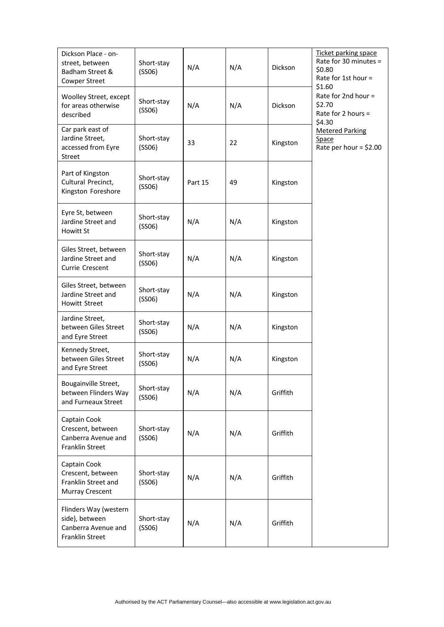| Dickson Place - on-<br>street, between<br>Badham Street &<br><b>Cowper Street</b>  | Short-stay<br>(SSO6) | N/A     | N/A | <b>Dickson</b> | Ticket parking space<br>Rate for 30 minutes =<br>\$0.80<br>Rate for 1st hour = |
|------------------------------------------------------------------------------------|----------------------|---------|-----|----------------|--------------------------------------------------------------------------------|
| Woolley Street, except<br>for areas otherwise<br>described                         | Short-stay<br>(SSO6) | N/A     | N/A | <b>Dickson</b> | \$1.60<br>Rate for 2nd hour =<br>\$2.70<br>Rate for 2 hours =<br>\$4.30        |
| Car park east of<br>Jardine Street,<br>accessed from Eyre<br><b>Street</b>         | Short-stay<br>(SSO6) | 33      | 22  | Kingston       | <b>Metered Parking</b><br>Space<br>Rate per hour = $$2.00$                     |
| Part of Kingston<br>Cultural Precinct,<br>Kingston Foreshore                       | Short-stay<br>(SSO6) | Part 15 | 49  | Kingston       |                                                                                |
| Eyre St, between<br>Jardine Street and<br>Howitt St                                | Short-stay<br>(SSO6) | N/A     | N/A | Kingston       |                                                                                |
| Giles Street, between<br>Jardine Street and<br>Currie Crescent                     | Short-stay<br>(SSO6) | N/A     | N/A | Kingston       |                                                                                |
| Giles Street, between<br>Jardine Street and<br><b>Howitt Street</b>                | Short-stay<br>(SSO6) | N/A     | N/A | Kingston       |                                                                                |
| Jardine Street,<br>between Giles Street<br>and Eyre Street                         | Short-stay<br>(SSO6) | N/A     | N/A | Kingston       |                                                                                |
| Kennedy Street,<br>between Giles Street<br>and Eyre Street                         | Short-stay<br>(SSO6) | N/A     | N/A | Kingston       |                                                                                |
| Bougainville Street,<br>between Flinders Way<br>and Furneaux Street                | Short-stay<br>(SSO6) | N/A     | N/A | Griffith       |                                                                                |
| Captain Cook<br>Crescent, between<br>Canberra Avenue and<br>Franklin Street        | Short-stay<br>(SSO6) | N/A     | N/A | Griffith       |                                                                                |
| Captain Cook<br>Crescent, between<br>Franklin Street and<br><b>Murray Crescent</b> | Short-stay<br>(SSO6) | N/A     | N/A | Griffith       |                                                                                |
| Flinders Way (western<br>side), between<br>Canberra Avenue and<br>Franklin Street  | Short-stay<br>(SSO6) | N/A     | N/A | Griffith       |                                                                                |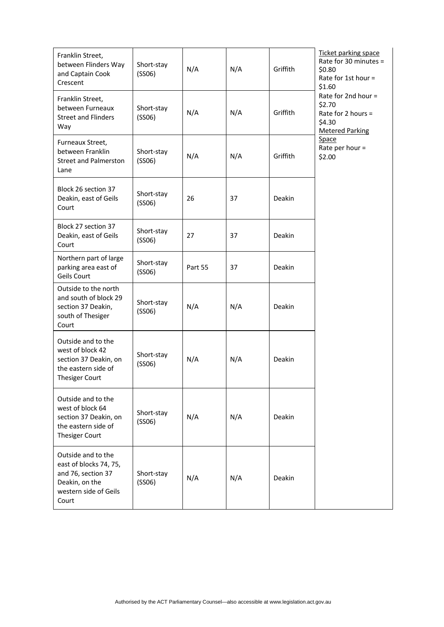| Franklin Street,<br>between Flinders Way<br>and Captain Cook<br>Crescent                                               | Short-stay<br>(SSO6) | N/A     | N/A | Griffith      | Ticket parking space<br>Rate for 30 minutes =<br>\$0.80<br>Rate for 1st hour =<br>\$1.60 |
|------------------------------------------------------------------------------------------------------------------------|----------------------|---------|-----|---------------|------------------------------------------------------------------------------------------|
| Franklin Street,<br>between Furneaux<br><b>Street and Flinders</b><br>Way                                              | Short-stay<br>(SSO6) | N/A     | N/A | Griffith      | Rate for 2nd hour =<br>\$2.70<br>Rate for 2 hours =<br>\$4.30<br><b>Metered Parking</b>  |
| Furneaux Street,<br>between Franklin<br><b>Street and Palmerston</b><br>Lane                                           | Short-stay<br>(SSO6) | N/A     | N/A | Griffith      | Space<br>Rate per hour =<br>\$2.00                                                       |
| Block 26 section 37<br>Deakin, east of Geils<br>Court                                                                  | Short-stay<br>(SSO6) | 26      | 37  | Deakin        |                                                                                          |
| Block 27 section 37<br>Deakin, east of Geils<br>Court                                                                  | Short-stay<br>(SSO6) | 27      | 37  | Deakin        |                                                                                          |
| Northern part of large<br>parking area east of<br>Geils Court                                                          | Short-stay<br>(SSO6) | Part 55 | 37  | Deakin        |                                                                                          |
| Outside to the north<br>and south of block 29<br>section 37 Deakin,<br>south of Thesiger<br>Court                      | Short-stay<br>(SSO6) | N/A     | N/A | Deakin        |                                                                                          |
| Outside and to the<br>west of block 42<br>section 37 Deakin, on<br>the eastern side of<br><b>Thesiger Court</b>        | Short-stay<br>(SSO6) | N/A     | N/A | Deakin        |                                                                                          |
| Outside and to the<br>west of block 64<br>section 37 Deakin, on<br>the eastern side of<br><b>Thesiger Court</b>        | Short-stay<br>(SSO6) | N/A     | N/A | <b>Deakin</b> |                                                                                          |
| Outside and to the<br>east of blocks 74, 75,<br>and 76, section 37<br>Deakin, on the<br>western side of Geils<br>Court | Short-stay<br>(SSO6) | N/A     | N/A | Deakin        |                                                                                          |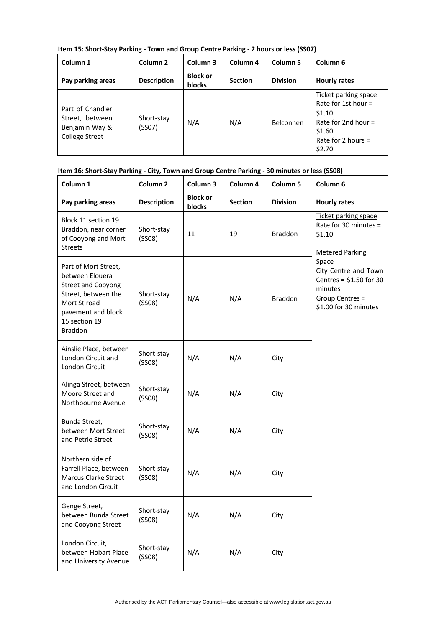**Item 15: Short‐Stay Parking ‐ Town and Group Centre Parking ‐ 2 hours or less (SS07)**

| Column 1                                                                       | Column <sub>2</sub>  | Column 3                         | Column <sub>4</sub> | Column <sub>5</sub> | Column <sub>6</sub>                                                                                                          |
|--------------------------------------------------------------------------------|----------------------|----------------------------------|---------------------|---------------------|------------------------------------------------------------------------------------------------------------------------------|
| Pay parking areas                                                              | <b>Description</b>   | <b>Block or</b><br><b>blocks</b> | <b>Section</b>      | <b>Division</b>     | <b>Hourly rates</b>                                                                                                          |
| Part of Chandler<br>Street, between<br>Benjamin Way &<br><b>College Street</b> | Short-stay<br>(SSO7) | N/A                              | N/A                 | Belconnen           | Ticket parking space<br>Rate for 1st hour $=$<br>\$1.10<br>Rate for 2nd hour $=$<br>\$1.60<br>Rate for 2 hours $=$<br>\$2.70 |

#### Item 16: Short-Stay Parking - City, Town and Group Centre Parking - 30 minutes or less (SS08)

| Column 1                                                                                                                                                             | Column <sub>2</sub>  | Column 3                  | Column 4       | Column 5        | Column 6                                                                                                         |
|----------------------------------------------------------------------------------------------------------------------------------------------------------------------|----------------------|---------------------------|----------------|-----------------|------------------------------------------------------------------------------------------------------------------|
| Pay parking areas                                                                                                                                                    | <b>Description</b>   | <b>Block or</b><br>blocks | <b>Section</b> | <b>Division</b> | <b>Hourly rates</b>                                                                                              |
| Block 11 section 19<br>Braddon, near corner<br>of Cooyong and Mort<br><b>Streets</b>                                                                                 | Short-stay<br>(SSO8) | 11                        | 19             | <b>Braddon</b>  | Ticket parking space<br>Rate for 30 minutes =<br>\$1.10<br><b>Metered Parking</b>                                |
| Part of Mort Street,<br>between Elouera<br><b>Street and Cooyong</b><br>Street, between the<br>Mort St road<br>pavement and block<br>15 section 19<br><b>Braddon</b> | Short-stay<br>(SSO8) | N/A                       | N/A            | <b>Braddon</b>  | Space<br>City Centre and Town<br>Centres = $$1.50$ for 30<br>minutes<br>Group Centres =<br>\$1.00 for 30 minutes |
| Ainslie Place, between<br>London Circuit and<br>London Circuit                                                                                                       | Short-stay<br>(SSO8) | N/A                       | N/A            | City            |                                                                                                                  |
| Alinga Street, between<br>Moore Street and<br>Northbourne Avenue                                                                                                     | Short-stay<br>(SSO8) | N/A                       | N/A            | City            |                                                                                                                  |
| Bunda Street,<br>between Mort Street<br>and Petrie Street                                                                                                            | Short-stay<br>(SSO8) | N/A                       | N/A            | City            |                                                                                                                  |
| Northern side of<br>Farrell Place, between<br><b>Marcus Clarke Street</b><br>and London Circuit                                                                      | Short-stay<br>(SSO8) | N/A                       | N/A            | City            |                                                                                                                  |
| Genge Street,<br>between Bunda Street<br>and Cooyong Street                                                                                                          | Short-stay<br>(SSO8) | N/A                       | N/A            | City            |                                                                                                                  |
| London Circuit,<br>between Hobart Place<br>and University Avenue                                                                                                     | Short-stay<br>(SSO8) | N/A                       | N/A            | City            |                                                                                                                  |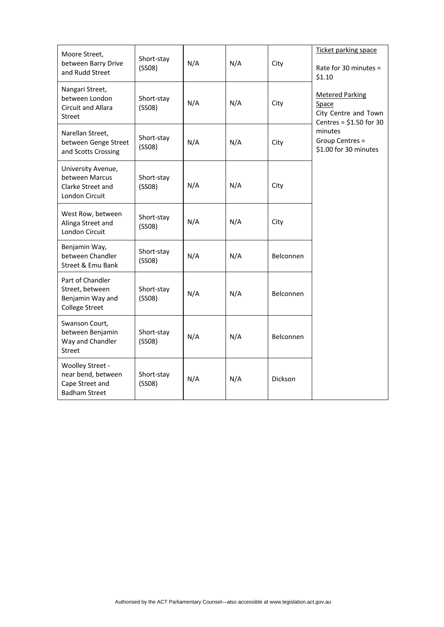| Moore Street,                                                                     |                      |     |     |                  | Ticket parking space                                                                |
|-----------------------------------------------------------------------------------|----------------------|-----|-----|------------------|-------------------------------------------------------------------------------------|
| between Barry Drive<br>and Rudd Street                                            | Short-stay<br>(SSO8) | N/A | N/A | City             | Rate for 30 minutes =<br>\$1.10                                                     |
| Nangari Street,<br>between London<br>Circuit and Allara<br>Street                 | Short-stay<br>(SSO8) | N/A | N/A | City             | <b>Metered Parking</b><br>Space<br>City Centre and Town<br>Centres = $$1.50$ for 30 |
| Narellan Street,<br>between Genge Street<br>and Scotts Crossing                   | Short-stay<br>(SSO8) | N/A | N/A | City             | minutes<br>Group Centres =<br>\$1.00 for 30 minutes                                 |
| University Avenue,<br>between Marcus<br>Clarke Street and<br>London Circuit       | Short-stay<br>(SSO8) | N/A | N/A | City             |                                                                                     |
| West Row, between<br>Alinga Street and<br>London Circuit                          | Short-stay<br>(SSO8) | N/A | N/A | City             |                                                                                     |
| Benjamin Way,<br>between Chandler<br>Street & Emu Bank                            | Short-stay<br>(SSO8) | N/A | N/A | <b>Belconnen</b> |                                                                                     |
| Part of Chandler<br>Street, between<br>Benjamin Way and<br><b>College Street</b>  | Short-stay<br>(SSO8) | N/A | N/A | Belconnen        |                                                                                     |
| Swanson Court,<br>between Benjamin<br>Way and Chandler<br><b>Street</b>           | Short-stay<br>(SSO8) | N/A | N/A | <b>Belconnen</b> |                                                                                     |
| Woolley Street -<br>near bend, between<br>Cape Street and<br><b>Badham Street</b> | Short-stay<br>(SSO8) | N/A | N/A | <b>Dickson</b>   |                                                                                     |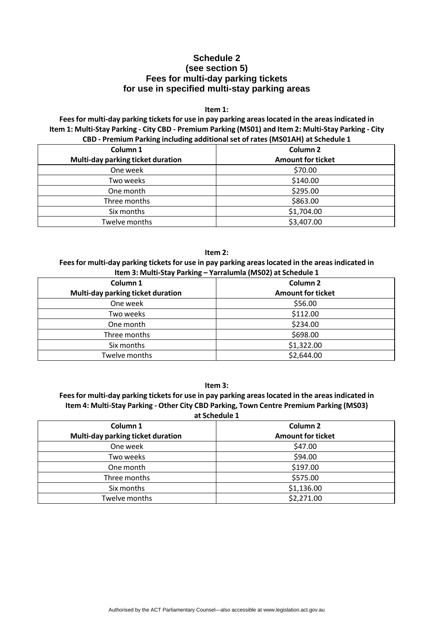## **Schedule 2 (see section 5) Fees for multi-day parking tickets for use in specified multi-stay parking areas**

#### **Item 1:**

**Feesfor multi‐day parking ticketsfor use in pay parking areaslocated in the areasindicated in**  Item 1: Multi-Stay Parking - City CBD - Premium Parking (MS01) and Item 2: Multi-Stay Parking - City **CBD ‐ Premium Parking including additional set of rates (MS01AH) at Schedule 1**

| Column 1<br>Multi-day parking ticket duration | Column <sub>2</sub><br><b>Amount for ticket</b> |
|-----------------------------------------------|-------------------------------------------------|
| One week                                      | \$70.00                                         |
| Two weeks                                     | \$140.00                                        |
| One month                                     | \$295.00                                        |
| Three months                                  | \$863.00                                        |
| Six months                                    | \$1,704.00                                      |
| Twelve months                                 | \$3,407.00                                      |

#### **Item 2:**

#### **Feesfor multi‐day parking ticketsfor use in pay parking areaslocated in the areasindicated in Item 3: Multi‐Stay Parking – Yarralumla (MS02) at Schedule 1**

| Column 1                          | Column <sub>2</sub>      |
|-----------------------------------|--------------------------|
| Multi-day parking ticket duration | <b>Amount for ticket</b> |
| One week                          | \$56.00                  |
| Two weeks                         | \$112.00                 |
| One month                         | \$234.00                 |
| Three months                      | \$698.00                 |
| Six months                        | \$1,322.00               |
| Twelve months                     | \$2,644.00               |

**Item 3:**

#### **Feesfor multi‐day parking ticketsfor use in pay parking areaslocated in the areasindicated in Item 4: Multi‐Stay Parking ‐ Other City CBD Parking, Town Centre Premium Parking (MS03) at Schedule 1**

| Column <sub>1</sub>               | Column <sub>2</sub>      |
|-----------------------------------|--------------------------|
| Multi-day parking ticket duration | <b>Amount for ticket</b> |
| One week                          | \$47.00                  |
| Two weeks                         | \$94.00                  |
| One month                         | \$197.00                 |
| Three months                      | \$575.00                 |
| Six months                        | \$1,136.00               |
| Twelve months                     | \$2,271.00               |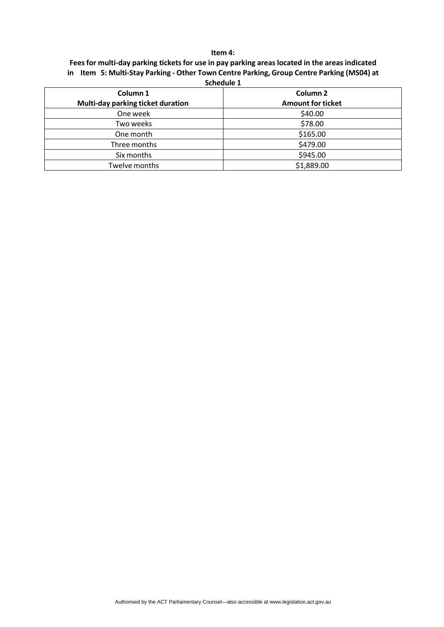#### **Item 4:**

|  | Fees for multi-day parking tickets for use in pay parking areas located in the areas indicated |
|--|------------------------------------------------------------------------------------------------|
|  | in Item 5: Multi-Stay Parking - Other Town Centre Parking, Group Centre Parking (MS04) at      |

| <b>POLICABLE T</b>                |                          |
|-----------------------------------|--------------------------|
| Column 1                          | Column <sub>2</sub>      |
| Multi-day parking ticket duration | <b>Amount for ticket</b> |
| One week                          | \$40.00                  |
| Two weeks                         | \$78.00                  |
| One month                         | \$165.00                 |
| Three months                      | \$479.00                 |
| Six months                        | \$945.00                 |
| Twelve months                     | \$1,889.00               |